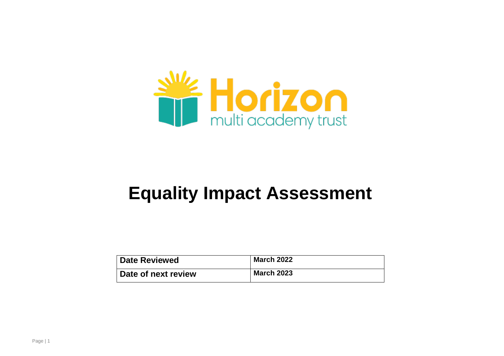

# **Equality Impact Assessment**

| <b>Date Reviewed</b> | <b>March 2022</b> |
|----------------------|-------------------|
| Date of next review  | <b>March 2023</b> |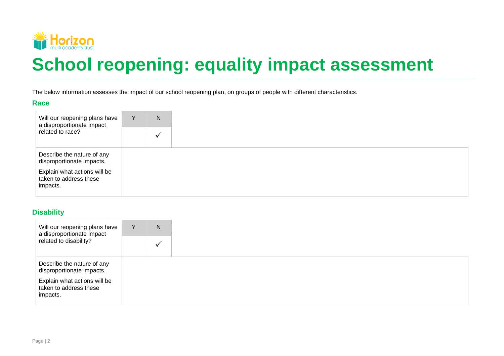

# **School reopening: equality impact assessment**

The below information assesses the impact of our school reopening plan, on groups of people with different characteristics.

#### **Race**

| Will our reopening plans have<br>a disproportionate impact<br>related to race? | Y | N |
|--------------------------------------------------------------------------------|---|---|
|                                                                                |   | ν |
| Describe the nature of any<br>disproportionate impacts.                        |   |   |
| Explain what actions will be<br>taken to address these<br>impacts.             |   |   |

#### **Disability**

| Will our reopening plans have<br>a disproportionate impact         | Y | N |
|--------------------------------------------------------------------|---|---|
| related to disability?                                             |   |   |
| Describe the nature of any<br>disproportionate impacts.            |   |   |
| Explain what actions will be<br>taken to address these<br>impacts. |   |   |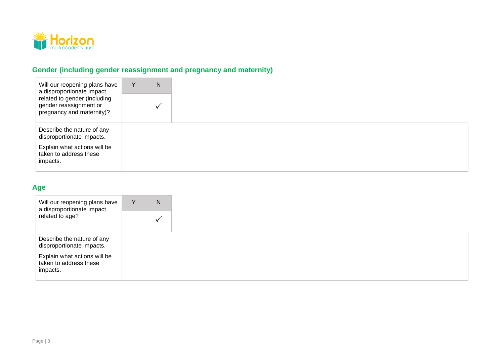

# **Gender (including gender reassignment and pregnancy and maternity)**

| Will our reopening plans have<br>a disproportionate impact                          | N |  |
|-------------------------------------------------------------------------------------|---|--|
| related to gender (including<br>gender reassignment or<br>pregnancy and maternity)? |   |  |
| Describe the nature of any<br>disproportionate impacts.                             |   |  |
| Explain what actions will be<br>taken to address these<br>impacts.                  |   |  |

## **Age**

| Will our reopening plans have<br>a disproportionate impact<br>related to age? | Y | N |
|-------------------------------------------------------------------------------|---|---|
|                                                                               |   |   |
| Describe the nature of any<br>disproportionate impacts.                       |   |   |
| Explain what actions will be<br>taken to address these<br>impacts.            |   |   |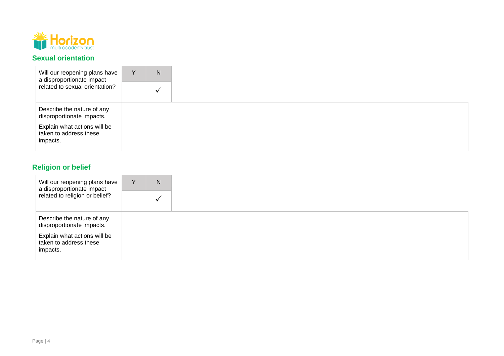

#### **Sexual orientation**

| Will our reopening plans have<br>a disproportionate impact         | Y | N |  |
|--------------------------------------------------------------------|---|---|--|
| related to sexual orientation?                                     |   |   |  |
| Describe the nature of any<br>disproportionate impacts.            |   |   |  |
| Explain what actions will be<br>taken to address these<br>impacts. |   |   |  |

# **Religion or belief**

| Will our reopening plans have<br>a disproportionate impact<br>related to religion or belief? | Y | N |  |
|----------------------------------------------------------------------------------------------|---|---|--|
|                                                                                              |   |   |  |
| Describe the nature of any<br>disproportionate impacts.                                      |   |   |  |
| Explain what actions will be<br>taken to address these<br>impacts.                           |   |   |  |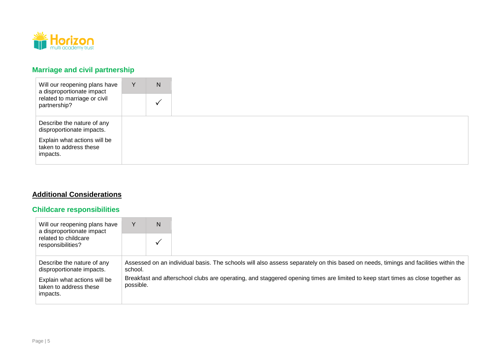

## **Marriage and civil partnership**

| Will our reopening plans have<br>a disproportionate impact<br>related to marriage or civil<br>partnership? | Y | N |  |
|------------------------------------------------------------------------------------------------------------|---|---|--|
|                                                                                                            |   |   |  |
| Describe the nature of any<br>disproportionate impacts.                                                    |   |   |  |
| Explain what actions will be<br>taken to address these<br>impacts.                                         |   |   |  |

## **Additional Considerations**

## **Childcare responsibilities**

| Will our reopening plans have<br>a disproportionate impact<br>related to childcare<br>responsibilities? |                                                                                                                                              | N |                                                                                                                                    |
|---------------------------------------------------------------------------------------------------------|----------------------------------------------------------------------------------------------------------------------------------------------|---|------------------------------------------------------------------------------------------------------------------------------------|
|                                                                                                         |                                                                                                                                              |   |                                                                                                                                    |
| Describe the nature of any<br>disproportionate impacts.                                                 | school.                                                                                                                                      |   | Assessed on an individual basis. The schools will also assess separately on this based on needs, timings and facilities within the |
| Explain what actions will be<br>taken to address these<br>impacts.                                      | Breakfast and afterschool clubs are operating, and staggered opening times are limited to keep start times as close together as<br>possible. |   |                                                                                                                                    |
|                                                                                                         |                                                                                                                                              |   |                                                                                                                                    |